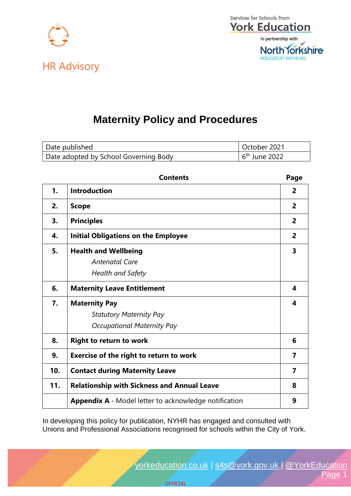



## **Maternity Policy and Procedures**

| Date published                        | October 2021    |
|---------------------------------------|-----------------|
| Date adopted by School Governing Body | $6th$ June 2022 |

|     | <b>Contents</b>                                       | Page           |
|-----|-------------------------------------------------------|----------------|
| 1.  | <b>Introduction</b>                                   | $\overline{2}$ |
| 2.  | <b>Scope</b>                                          | $\overline{2}$ |
| 3.  | <b>Principles</b>                                     | $\overline{2}$ |
| 4.  | <b>Initial Obligations on the Employee</b>            | $\overline{2}$ |
| 5.  | <b>Health and Wellbeing</b>                           | 3              |
|     | <b>Antenatal Care</b>                                 |                |
|     | <b>Health and Safety</b>                              |                |
| 6.  | <b>Maternity Leave Entitlement</b>                    | 4              |
| 7.  | <b>Maternity Pay</b>                                  | 4              |
|     | <b>Statutory Maternity Pay</b>                        |                |
|     | <b>Occupational Maternity Pay</b>                     |                |
| 8.  | <b>Right to return to work</b>                        | 6              |
| 9.  | <b>Exercise of the right to return to work</b>        | 7              |
| 10. | <b>Contact during Maternity Leave</b>                 | 7              |
| 11. | <b>Relationship with Sickness and Annual Leave</b>    | 8              |
|     | Appendix A - Model letter to acknowledge notification | 9              |

In developing this policy for publication, NYHR has engaged and consulted with Unions and Professional Associations recognised for schools within the City of York.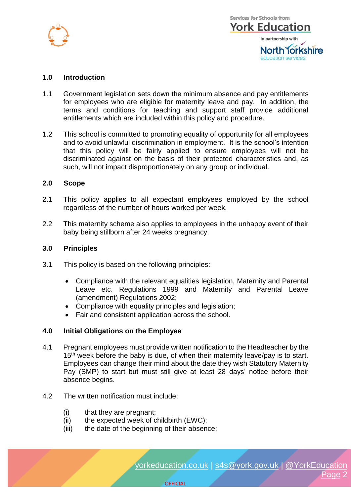

## **1.0 Introduction**

- 1.1 Government legislation sets down the minimum absence and pay entitlements for employees who are eligible for maternity leave and pay. In addition, the terms and conditions for teaching and support staff provide additional entitlements which are included within this policy and procedure.
- 1.2 This school is committed to promoting equality of opportunity for all employees and to avoid unlawful discrimination in employment. It is the school's intention that this policy will be fairly applied to ensure employees will not be discriminated against on the basis of their protected characteristics and, as such, will not impact disproportionately on any group or individual.

#### **2.0 Scope**

- 2.1 This policy applies to all expectant employees employed by the school regardless of the number of hours worked per week.
- 2.2 This maternity scheme also applies to employees in the unhappy event of their baby being stillborn after 24 weeks pregnancy.

#### **3.0 Principles**

- 3.1 This policy is based on the following principles:
	- Compliance with the relevant equalities legislation, Maternity and Parental Leave etc. Regulations 1999 and Maternity and Parental Leave (amendment) Regulations 2002;
	- Compliance with equality principles and legislation;
	- Fair and consistent application across the school.

#### **4.0 Initial Obligations on the Employee**

4.1 Pregnant employees must provide written notification to the Headteacher by the 15<sup>th</sup> week before the baby is due, of when their maternity leave/pay is to start. Employees can change their mind about the date they wish Statutory Maternity Pay (SMP) to start but must still give at least 28 days' notice before their absence begins.

**OFFICIAL** 

- 4.2 The written notification must include:
	- (i) that they are pregnant;
	- (ii) the expected week of childbirth (EWC);
	- (iii) the date of the beginning of their absence;

[yorkeducation.co.uk](http://www.yorkeducation.co.uk/) | [s4s@york.gov.uk](mailto:s4s@york.gov.uk) | [@YorkEducation](http://www.twitter.com/yorkeducation) Page 2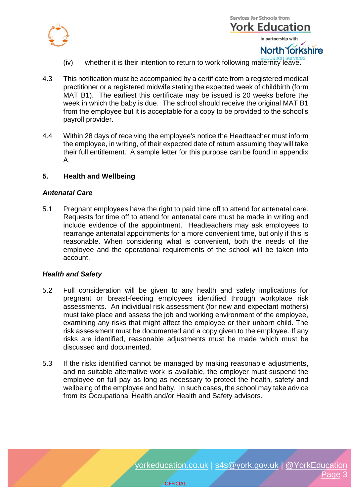



- iv) whether it is their intention to return to work following maternity leave.
- 4.3 This notification must be accompanied by a certificate from a registered medical practitioner or a registered midwife stating the expected week of childbirth (form MAT B1). The earliest this certificate may be issued is 20 weeks before the week in which the baby is due. The school should receive the original MAT B1 from the employee but it is acceptable for a copy to be provided to the school's payroll provider.
- 4.4 Within 28 days of receiving the employee's notice the Headteacher must inform the employee, in writing, of their expected date of return assuming they will take their full entitlement. A sample letter for this purpose can be found in appendix A.

#### **5. Health and Wellbeing**

#### *Antenatal Care*

5.1 Pregnant employees have the right to paid time off to attend for antenatal care. Requests for time off to attend for antenatal care must be made in writing and include evidence of the appointment. Headteachers may ask employees to rearrange antenatal appointments for a more convenient time, but only if this is reasonable. When considering what is convenient, both the needs of the employee and the operational requirements of the school will be taken into account.

#### *Health and Safety*

- 5.2 Full consideration will be given to any health and safety implications for pregnant or breast-feeding employees identified through workplace risk assessments. An individual risk assessment (for new and expectant mothers) must take place and assess the job and working environment of the employee, examining any risks that might affect the employee or their unborn child. The risk assessment must be documented and a copy given to the employee. If any risks are identified, reasonable adjustments must be made which must be discussed and documented.
- 5.3 If the risks identified cannot be managed by making reasonable adjustments, and no suitable alternative work is available, the employer must suspend the employee on full pay as long as necessary to protect the health, safety and wellbeing of the employee and baby. In such cases, the school may take advice from its Occupational Health and/or Health and Safety advisors.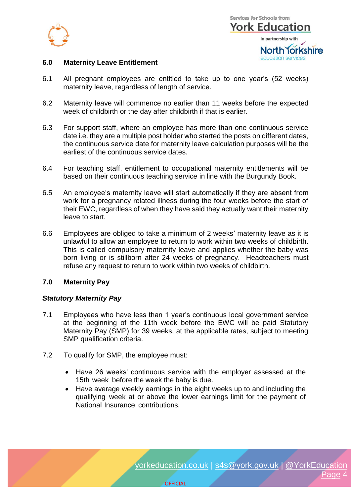



## **6.0 Maternity Leave Entitlement**

- 6.1 All pregnant employees are entitled to take up to one year's (52 weeks) maternity leave, regardless of length of service.
- 6.2 Maternity leave will commence no earlier than 11 weeks before the expected week of childbirth or the day after childbirth if that is earlier.
- 6.3 For support staff, where an employee has more than one continuous service date i.e. they are a multiple post holder who started the posts on different dates, the continuous service date for maternity leave calculation purposes will be the earliest of the continuous service dates.
- 6.4 For teaching staff, entitlement to occupational maternity entitlements will be based on their continuous teaching service in line with the Burgundy Book.
- 6.5 An employee's maternity leave will start automatically if they are absent from work for a pregnancy related illness during the four weeks before the start of their EWC, regardless of when they have said they actually want their maternity leave to start.
- 6.6 Employees are obliged to take a minimum of 2 weeks' maternity leave as it is unlawful to allow an employee to return to work within two weeks of childbirth. This is called compulsory maternity leave and applies whether the baby was born living or is stillborn after 24 weeks of pregnancy. Headteachers must refuse any request to return to work within two weeks of childbirth.

## **7.0 Maternity Pay**

## *Statutory Maternity Pay*

- 7.1 Employees who have less than 1 year's continuous local government service at the beginning of the 11th week before the EWC will be paid Statutory Maternity Pay (SMP) for 39 weeks, at the applicable rates, subject to meeting SMP qualification criteria.
- 7.2 To qualify for SMP, the employee must:
	- Have 26 weeks' continuous service with the employer assessed at the 15th week before the week the baby is due.
	- Have average weekly earnings in the eight weeks up to and including the qualifying week at or above the lower earnings limit for the payment of National Insurance contributions.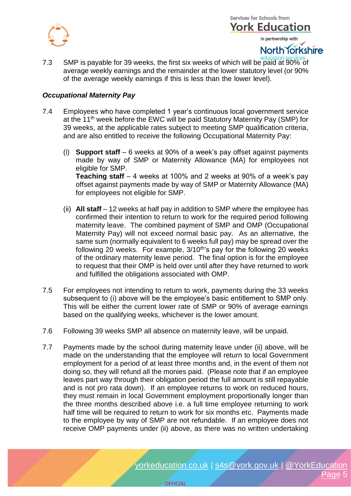

in partnership with

North Torkshire

7.3 SMP is payable for 39 weeks, the first six weeks of which will be paid at 90% of average weekly earnings and the remainder at the lower statutory level (or 90% of the average weekly earnings if this is less than the lower level).

## *Occupational Maternity Pay*

- 7.4 Employees who have completed 1 year's continuous local government service at the 11<sup>th</sup> week before the EWC will be paid Statutory Maternity Pay (SMP) for 39 weeks, at the applicable rates subject to meeting SMP qualification criteria, and are also entitled to receive the following Occupational Maternity Pay:
	- (i) **Support staff** 6 weeks at 90% of a week's pay offset against payments made by way of SMP or Maternity Allowance (MA) for employees not eligible for SMP. **Teaching staff** – 4 weeks at 100% and 2 weeks at 90% of a week's pay offset against payments made by way of SMP or Maternity Allowance (MA) for employees not eligible for SMP.
	- (ii) **All staff** 12 weeks at half pay in addition to SMP where the employee has confirmed their intention to return to work for the required period following maternity leave. The combined payment of SMP and OMP (Occupational Maternity Pay) will not exceed normal basic pay. As an alternative, the same sum (normally equivalent to 6 weeks full pay) may be spread over the following 20 weeks. For example,  $3/10<sup>th</sup>$ 's pay for the following 20 weeks of the ordinary maternity leave period. The final option is for the employee to request that their OMP is held over until after they have returned to work and fulfilled the obligations associated with OMP.
- 7.5 For employees not intending to return to work, payments during the 33 weeks subsequent to (i) above will be the employee's basic entitlement to SMP only. This will be either the current lower rate of SMP or 90% of average earnings based on the qualifying weeks, whichever is the lower amount.
- 7.6 Following 39 weeks SMP all absence on maternity leave, will be unpaid.
- 7.7 Payments made by the school during maternity leave under (ii) above, will be made on the understanding that the employee will return to local Government employment for a period of at least three months and, in the event of them not doing so, they will refund all the monies paid. (Please note that if an employee leaves part way through their obligation period the full amount is still repayable and is not pro rata down). If an employee returns to work on reduced hours, they must remain in local Government employment proportionally longer than the three months described above i.e. a full time employee returning to work half time will be required to return to work for six months etc. Payments made to the employee by way of SMP are not refundable. If an employee does not receive OMP payments under (ii) above, as there was no written undertaking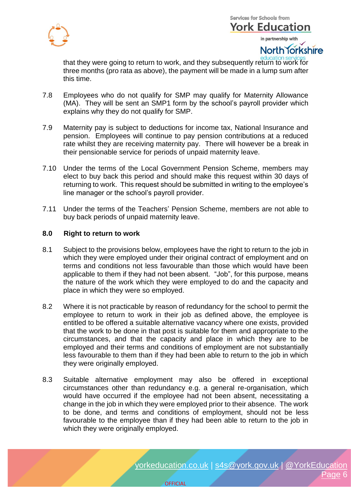

**Services for Schools from York Education** in partnership with

North Torkshire

that they were going to return to work, and they subsequently return to work for three months (pro rata as above), the payment will be made in a lump sum after this time.

- 7.8 Employees who do not qualify for SMP may qualify for Maternity Allowance (MA). They will be sent an SMP1 form by the school's payroll provider which explains why they do not qualify for SMP.
- 7.9 Maternity pay is subject to deductions for income tax, National Insurance and pension. Employees will continue to pay pension contributions at a reduced rate whilst they are receiving maternity pay. There will however be a break in their pensionable service for periods of unpaid maternity leave.
- 7.10 Under the terms of the Local Government Pension Scheme, members may elect to buy back this period and should make this request within 30 days of returning to work. This request should be submitted in writing to the employee's line manager or the school's payroll provider.
- 7.11 Under the terms of the Teachers' Pension Scheme, members are not able to buy back periods of unpaid maternity leave.

## **8.0 Right to return to work**

- 8.1 Subject to the provisions below, employees have the right to return to the job in which they were employed under their original contract of employment and on terms and conditions not less favourable than those which would have been applicable to them if they had not been absent. "Job", for this purpose, means the nature of the work which they were employed to do and the capacity and place in which they were so employed.
- 8.2 Where it is not practicable by reason of redundancy for the school to permit the employee to return to work in their job as defined above, the employee is entitled to be offered a suitable alternative vacancy where one exists, provided that the work to be done in that post is suitable for them and appropriate to the circumstances, and that the capacity and place in which they are to be employed and their terms and conditions of employment are not substantially less favourable to them than if they had been able to return to the job in which they were originally employed.
- 8.3 Suitable alternative employment may also be offered in exceptional circumstances other than redundancy e.g. a general re-organisation, which would have occurred if the employee had not been absent, necessitating a change in the job in which they were employed prior to their absence. The work to be done, and terms and conditions of employment, should not be less favourable to the employee than if they had been able to return to the job in which they were originally employed.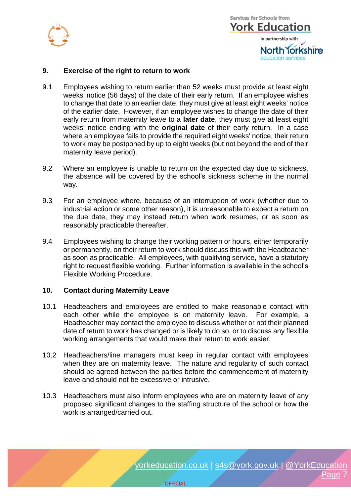



## **9. Exercise of the right to return to work**

- 9.1 Employees wishing to return earlier than 52 weeks must provide at least eight weeks' notice (56 days) of the date of their early return. If an employee wishes to change that date to an earlier date, they must give at least eight weeks' notice of the earlier date. However, if an employee wishes to change the date of their early return from maternity leave to a **later date**, they must give at least eight weeks' notice ending with the **original date** of their early return. In a case where an employee fails to provide the required eight weeks' notice, their return to work may be postponed by up to eight weeks (but not beyond the end of their maternity leave period).
- 9.2 Where an employee is unable to return on the expected day due to sickness, the absence will be covered by the school's sickness scheme in the normal way.
- 9.3 For an employee where, because of an interruption of work (whether due to industrial action or some other reason), it is unreasonable to expect a return on the due date, they may instead return when work resumes, or as soon as reasonably practicable thereafter.
- 9.4 Employees wishing to change their working pattern or hours, either temporarily or permanently, on their return to work should discuss this with the Headteacher as soon as practicable. All employees, with qualifying service, have a statutory right to request flexible working. Further information is available in the school's Flexible Working Procedure.

## **10. Contact during Maternity Leave**

- 10.1 Headteachers and employees are entitled to make reasonable contact with each other while the employee is on maternity leave. For example, a Headteacher may contact the employee to discuss whether or not their planned date of return to work has changed or is likely to do so, or to discuss any flexible working arrangements that would make their return to work easier.
- 10.2 Headteachers/line managers must keep in regular contact with employees when they are on maternity leave. The nature and regularity of such contact should be agreed between the parties before the commencement of maternity leave and should not be excessive or intrusive.
- 10.3 Headteachers must also inform employees who are on maternity leave of any proposed significant changes to the staffing structure of the school or how the work is arranged/carried out.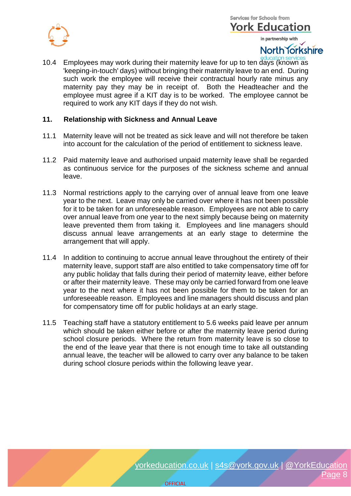

## **Services for Schools from York Education** in partnership with

# North Torkshire

10.4 Employees may work during their maternity leave for up to ten days (known as 'keeping-in-touch' days) without bringing their maternity leave to an end. During such work the employee will receive their contractual hourly rate minus any maternity pay they may be in receipt of. Both the Headteacher and the employee must agree if a KIT day is to be worked. The employee cannot be required to work any KIT days if they do not wish.

## **11. Relationship with Sickness and Annual Leave**

- 11.1 Maternity leave will not be treated as sick leave and will not therefore be taken into account for the calculation of the period of entitlement to sickness leave.
- 11.2 Paid maternity leave and authorised unpaid maternity leave shall be regarded as continuous service for the purposes of the sickness scheme and annual leave.
- 11.3 Normal restrictions apply to the carrying over of annual leave from one leave year to the next. Leave may only be carried over where it has not been possible for it to be taken for an unforeseeable reason. Employees are not able to carry over annual leave from one year to the next simply because being on maternity leave prevented them from taking it. Employees and line managers should discuss annual leave arrangements at an early stage to determine the arrangement that will apply.
- 11.4 In addition to continuing to accrue annual leave throughout the entirety of their maternity leave, support staff are also entitled to take compensatory time off for any public holiday that falls during their period of maternity leave, either before or after their maternity leave. These may only be carried forward from one leave year to the next where it has not been possible for them to be taken for an unforeseeable reason. Employees and line managers should discuss and plan for compensatory time off for public holidays at an early stage.
- 11.5 Teaching staff have a statutory entitlement to 5.6 weeks paid leave per annum which should be taken either before or after the maternity leave period during school closure periods. Where the return from maternity leave is so close to the end of the leave year that there is not enough time to take all outstanding annual leave, the teacher will be allowed to carry over any balance to be taken during school closure periods within the following leave year.